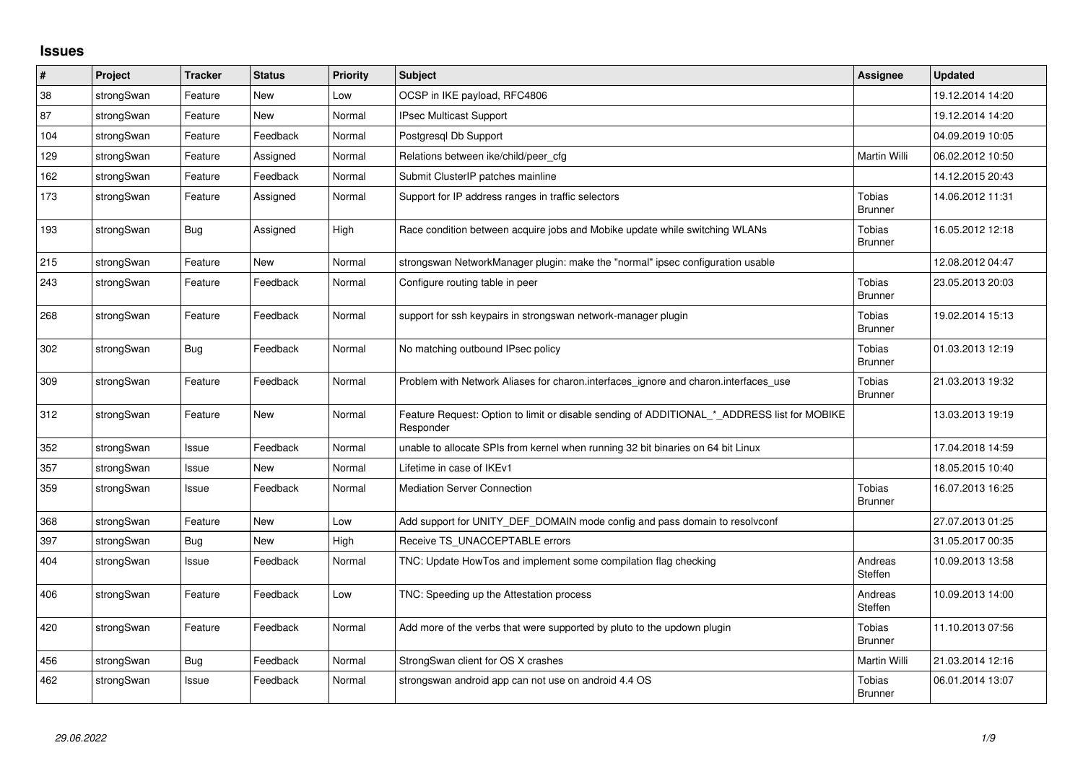## **Issues**

| $\vert$ # | Project    | <b>Tracker</b> | <b>Status</b> | <b>Priority</b> | <b>Subject</b>                                                                                           | <b>Assignee</b>                 | <b>Updated</b>   |
|-----------|------------|----------------|---------------|-----------------|----------------------------------------------------------------------------------------------------------|---------------------------------|------------------|
| 38        | strongSwan | Feature        | New           | Low             | OCSP in IKE payload, RFC4806                                                                             |                                 | 19.12.2014 14:20 |
| 87        | strongSwan | Feature        | New           | Normal          | IPsec Multicast Support                                                                                  |                                 | 19.12.2014 14:20 |
| 104       | strongSwan | Feature        | Feedback      | Normal          | Postgresgl Db Support                                                                                    |                                 | 04.09.2019 10:05 |
| 129       | strongSwan | Feature        | Assigned      | Normal          | Relations between ike/child/peer_cfg                                                                     | Martin Willi                    | 06.02.2012 10:50 |
| 162       | strongSwan | Feature        | Feedback      | Normal          | Submit ClusterIP patches mainline                                                                        |                                 | 14.12.2015 20:43 |
| 173       | strongSwan | Feature        | Assigned      | Normal          | Support for IP address ranges in traffic selectors                                                       | <b>Tobias</b><br><b>Brunner</b> | 14.06.2012 11:31 |
| 193       | strongSwan | <b>Bug</b>     | Assigned      | High            | Race condition between acquire jobs and Mobike update while switching WLANs                              | <b>Tobias</b><br><b>Brunner</b> | 16.05.2012 12:18 |
| 215       | strongSwan | Feature        | <b>New</b>    | Normal          | strongswan NetworkManager plugin: make the "normal" ipsec configuration usable                           |                                 | 12.08.2012 04:47 |
| 243       | strongSwan | Feature        | Feedback      | Normal          | Configure routing table in peer                                                                          | Tobias<br><b>Brunner</b>        | 23.05.2013 20:03 |
| 268       | strongSwan | Feature        | Feedback      | Normal          | support for ssh keypairs in strongswan network-manager plugin                                            | <b>Tobias</b><br><b>Brunner</b> | 19.02.2014 15:13 |
| 302       | strongSwan | Bug            | Feedback      | Normal          | No matching outbound IPsec policy                                                                        | <b>Tobias</b><br><b>Brunner</b> | 01.03.2013 12:19 |
| 309       | strongSwan | Feature        | Feedback      | Normal          | Problem with Network Aliases for charon.interfaces_ignore and charon.interfaces_use                      | <b>Tobias</b><br><b>Brunner</b> | 21.03.2013 19:32 |
| 312       | strongSwan | Feature        | New           | Normal          | Feature Request: Option to limit or disable sending of ADDITIONAL * ADDRESS list for MOBIKE<br>Responder |                                 | 13.03.2013 19:19 |
| 352       | strongSwan | Issue          | Feedback      | Normal          | unable to allocate SPIs from kernel when running 32 bit binaries on 64 bit Linux                         |                                 | 17.04.2018 14:59 |
| 357       | strongSwan | Issue          | New           | Normal          | Lifetime in case of IKEv1                                                                                |                                 | 18.05.2015 10:40 |
| 359       | strongSwan | Issue          | Feedback      | Normal          | <b>Mediation Server Connection</b>                                                                       | <b>Tobias</b><br><b>Brunner</b> | 16.07.2013 16:25 |
| 368       | strongSwan | Feature        | <b>New</b>    | Low             | Add support for UNITY DEF DOMAIN mode config and pass domain to resolvconf                               |                                 | 27.07.2013 01:25 |
| 397       | strongSwan | Bug            | <b>New</b>    | High            | Receive TS_UNACCEPTABLE errors                                                                           |                                 | 31.05.2017 00:35 |
| 404       | strongSwan | Issue          | Feedback      | Normal          | TNC: Update HowTos and implement some compilation flag checking                                          | Andreas<br>Steffen              | 10.09.2013 13:58 |
| 406       | strongSwan | Feature        | Feedback      | Low             | TNC: Speeding up the Attestation process                                                                 | Andreas<br>Steffen              | 10.09.2013 14:00 |
| 420       | strongSwan | Feature        | Feedback      | Normal          | Add more of the verbs that were supported by pluto to the updown plugin                                  | <b>Tobias</b><br><b>Brunner</b> | 11.10.2013 07:56 |
| 456       | strongSwan | Bug            | Feedback      | Normal          | StrongSwan client for OS X crashes                                                                       | Martin Willi                    | 21.03.2014 12:16 |
| 462       | strongSwan | Issue          | Feedback      | Normal          | strongswan android app can not use on android 4.4 OS                                                     | <b>Tobias</b><br><b>Brunner</b> | 06.01.2014 13:07 |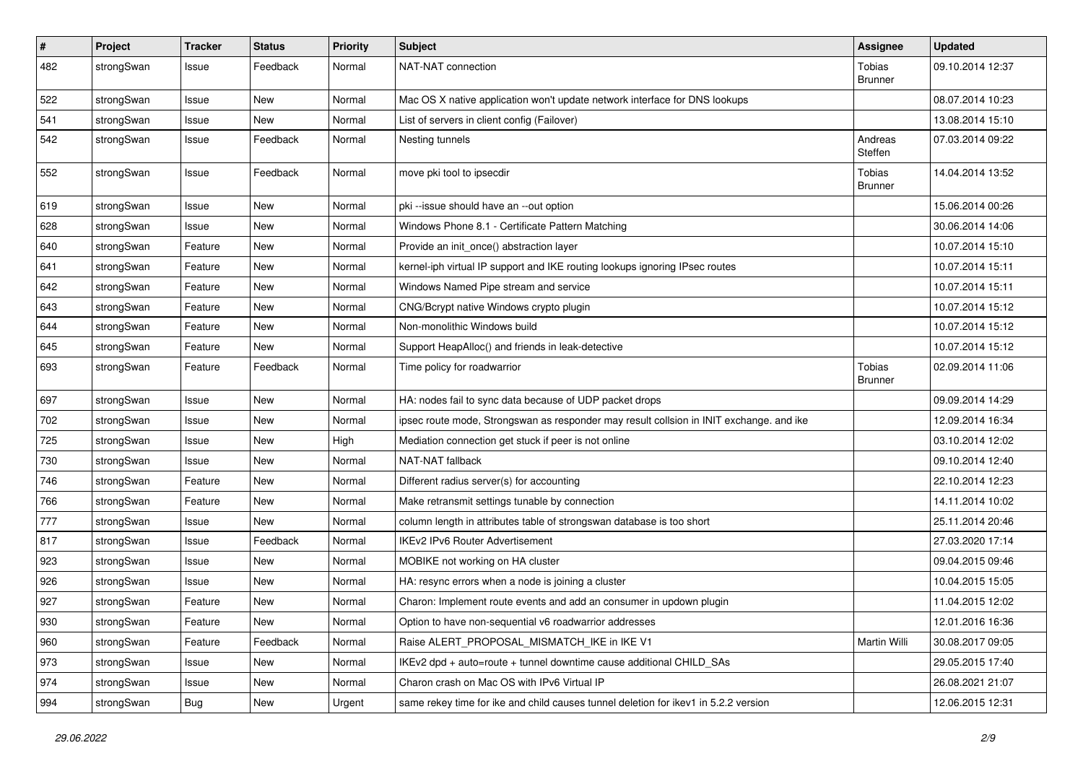| $\sharp$ | Project    | <b>Tracker</b> | <b>Status</b> | <b>Priority</b> | <b>Subject</b>                                                                          | <b>Assignee</b>          | <b>Updated</b>   |
|----------|------------|----------------|---------------|-----------------|-----------------------------------------------------------------------------------------|--------------------------|------------------|
| 482      | strongSwan | Issue          | Feedback      | Normal          | NAT-NAT connection                                                                      | Tobias<br><b>Brunner</b> | 09.10.2014 12:37 |
| 522      | strongSwan | Issue          | <b>New</b>    | Normal          | Mac OS X native application won't update network interface for DNS lookups              |                          | 08.07.2014 10:23 |
| 541      | strongSwan | Issue          | New           | Normal          | List of servers in client config (Failover)                                             |                          | 13.08.2014 15:10 |
| 542      | strongSwan | Issue          | Feedback      | Normal          | Nesting tunnels                                                                         | Andreas<br>Steffen       | 07.03.2014 09:22 |
| 552      | strongSwan | Issue          | Feedback      | Normal          | move pki tool to ipsecdir                                                               | Tobias<br><b>Brunner</b> | 14.04.2014 13:52 |
| 619      | strongSwan | Issue          | <b>New</b>    | Normal          | pki --issue should have an --out option                                                 |                          | 15.06.2014 00:26 |
| 628      | strongSwan | Issue          | <b>New</b>    | Normal          | Windows Phone 8.1 - Certificate Pattern Matching                                        |                          | 30.06.2014 14:06 |
| 640      | strongSwan | Feature        | New           | Normal          | Provide an init_once() abstraction layer                                                |                          | 10.07.2014 15:10 |
| 641      | strongSwan | Feature        | New           | Normal          | kernel-iph virtual IP support and IKE routing lookups ignoring IPsec routes             |                          | 10.07.2014 15:11 |
| 642      | strongSwan | Feature        | <b>New</b>    | Normal          | Windows Named Pipe stream and service                                                   |                          | 10.07.2014 15:11 |
| 643      | strongSwan | Feature        | New           | Normal          | CNG/Bcrypt native Windows crypto plugin                                                 |                          | 10.07.2014 15:12 |
| 644      | strongSwan | Feature        | New           | Normal          | Non-monolithic Windows build                                                            |                          | 10.07.2014 15:12 |
| 645      | strongSwan | Feature        | New           | Normal          | Support HeapAlloc() and friends in leak-detective                                       |                          | 10.07.2014 15:12 |
| 693      | strongSwan | Feature        | Feedback      | Normal          | Time policy for roadwarrior                                                             | Tobias<br><b>Brunner</b> | 02.09.2014 11:06 |
| 697      | strongSwan | Issue          | <b>New</b>    | Normal          | HA: nodes fail to sync data because of UDP packet drops                                 |                          | 09.09.2014 14:29 |
| 702      | strongSwan | Issue          | New           | Normal          | ipsec route mode, Strongswan as responder may result collsion in INIT exchange. and ike |                          | 12.09.2014 16:34 |
| 725      | strongSwan | Issue          | <b>New</b>    | High            | Mediation connection get stuck if peer is not online                                    |                          | 03.10.2014 12:02 |
| 730      | strongSwan | Issue          | New           | Normal          | NAT-NAT fallback                                                                        |                          | 09.10.2014 12:40 |
| 746      | strongSwan | Feature        | New           | Normal          | Different radius server(s) for accounting                                               |                          | 22.10.2014 12:23 |
| 766      | strongSwan | Feature        | New           | Normal          | Make retransmit settings tunable by connection                                          |                          | 14.11.2014 10:02 |
| 777      | strongSwan | Issue          | New           | Normal          | column length in attributes table of strongswan database is too short                   |                          | 25.11.2014 20:46 |
| 817      | strongSwan | Issue          | Feedback      | Normal          | <b>IKEv2 IPv6 Router Advertisement</b>                                                  |                          | 27.03.2020 17:14 |
| 923      | strongSwan | Issue          | New           | Normal          | MOBIKE not working on HA cluster                                                        |                          | 09.04.2015 09:46 |
| 926      | strongSwan | Issue          | <b>New</b>    | Normal          | HA: resync errors when a node is joining a cluster                                      |                          | 10.04.2015 15:05 |
| 927      | strongSwan | Feature        | New           | Normal          | Charon: Implement route events and add an consumer in updown plugin                     |                          | 11.04.2015 12:02 |
| 930      | strongSwan | Feature        | New           | Normal          | Option to have non-sequential v6 roadwarrior addresses                                  |                          | 12.01.2016 16:36 |
| 960      | strongSwan | Feature        | Feedback      | Normal          | Raise ALERT_PROPOSAL_MISMATCH_IKE in IKE V1                                             | Martin Willi             | 30.08.2017 09:05 |
| 973      | strongSwan | Issue          | New           | Normal          | IKEv2 dpd + auto=route + tunnel downtime cause additional CHILD SAs                     |                          | 29.05.2015 17:40 |
| 974      | strongSwan | Issue          | New           | Normal          | Charon crash on Mac OS with IPv6 Virtual IP                                             |                          | 26.08.2021 21:07 |
| 994      | strongSwan | <b>Bug</b>     | New           | Urgent          | same rekey time for ike and child causes tunnel deletion for ikey1 in 5.2.2 version     |                          | 12.06.2015 12:31 |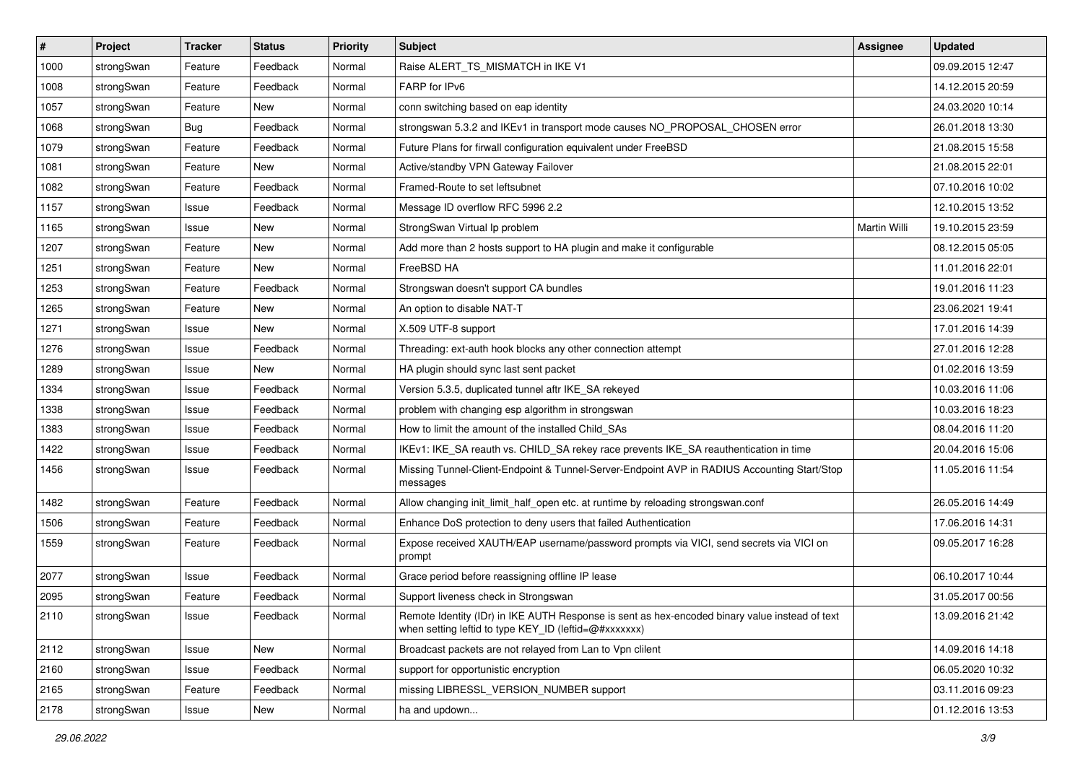| $\vert$ # | Project    | <b>Tracker</b> | <b>Status</b> | <b>Priority</b> | Subject                                                                                                                                                 | <b>Assignee</b> | <b>Updated</b>   |
|-----------|------------|----------------|---------------|-----------------|---------------------------------------------------------------------------------------------------------------------------------------------------------|-----------------|------------------|
| 1000      | strongSwan | Feature        | Feedback      | Normal          | Raise ALERT_TS_MISMATCH in IKE V1                                                                                                                       |                 | 09.09.2015 12:47 |
| 1008      | strongSwan | Feature        | Feedback      | Normal          | FARP for IPv6                                                                                                                                           |                 | 14.12.2015 20:59 |
| 1057      | strongSwan | Feature        | New           | Normal          | conn switching based on eap identity                                                                                                                    |                 | 24.03.2020 10:14 |
| 1068      | strongSwan | <b>Bug</b>     | Feedback      | Normal          | strongswan 5.3.2 and IKEv1 in transport mode causes NO_PROPOSAL_CHOSEN error                                                                            |                 | 26.01.2018 13:30 |
| 1079      | strongSwan | Feature        | Feedback      | Normal          | Future Plans for firwall configuration equivalent under FreeBSD                                                                                         |                 | 21.08.2015 15:58 |
| 1081      | strongSwan | Feature        | New           | Normal          | Active/standby VPN Gateway Failover                                                                                                                     |                 | 21.08.2015 22:01 |
| 1082      | strongSwan | Feature        | Feedback      | Normal          | Framed-Route to set leftsubnet                                                                                                                          |                 | 07.10.2016 10:02 |
| 1157      | strongSwan | Issue          | Feedback      | Normal          | Message ID overflow RFC 5996 2.2                                                                                                                        |                 | 12.10.2015 13:52 |
| 1165      | strongSwan | Issue          | <b>New</b>    | Normal          | StrongSwan Virtual Ip problem                                                                                                                           | Martin Willi    | 19.10.2015 23:59 |
| 1207      | strongSwan | Feature        | New           | Normal          | Add more than 2 hosts support to HA plugin and make it configurable                                                                                     |                 | 08.12.2015 05:05 |
| 1251      | strongSwan | Feature        | New           | Normal          | FreeBSD HA                                                                                                                                              |                 | 11.01.2016 22:01 |
| 1253      | strongSwan | Feature        | Feedback      | Normal          | Strongswan doesn't support CA bundles                                                                                                                   |                 | 19.01.2016 11:23 |
| 1265      | strongSwan | Feature        | New           | Normal          | An option to disable NAT-T                                                                                                                              |                 | 23.06.2021 19:41 |
| 1271      | strongSwan | Issue          | New           | Normal          | X.509 UTF-8 support                                                                                                                                     |                 | 17.01.2016 14:39 |
| 1276      | strongSwan | Issue          | Feedback      | Normal          | Threading: ext-auth hook blocks any other connection attempt                                                                                            |                 | 27.01.2016 12:28 |
| 1289      | strongSwan | Issue          | New           | Normal          | HA plugin should sync last sent packet                                                                                                                  |                 | 01.02.2016 13:59 |
| 1334      | strongSwan | Issue          | Feedback      | Normal          | Version 5.3.5, duplicated tunnel aftr IKE_SA rekeyed                                                                                                    |                 | 10.03.2016 11:06 |
| 1338      | strongSwan | Issue          | Feedback      | Normal          | problem with changing esp algorithm in strongswan                                                                                                       |                 | 10.03.2016 18:23 |
| 1383      | strongSwan | Issue          | Feedback      | Normal          | How to limit the amount of the installed Child_SAs                                                                                                      |                 | 08.04.2016 11:20 |
| 1422      | strongSwan | Issue          | Feedback      | Normal          | IKEv1: IKE_SA reauth vs. CHILD_SA rekey race prevents IKE_SA reauthentication in time                                                                   |                 | 20.04.2016 15:06 |
| 1456      | strongSwan | Issue          | Feedback      | Normal          | Missing Tunnel-Client-Endpoint & Tunnel-Server-Endpoint AVP in RADIUS Accounting Start/Stop<br>messages                                                 |                 | 11.05.2016 11:54 |
| 1482      | strongSwan | Feature        | Feedback      | Normal          | Allow changing init_limit_half_open etc. at runtime by reloading strongswan.conf                                                                        |                 | 26.05.2016 14:49 |
| 1506      | strongSwan | Feature        | Feedback      | Normal          | Enhance DoS protection to deny users that failed Authentication                                                                                         |                 | 17.06.2016 14:31 |
| 1559      | strongSwan | Feature        | Feedback      | Normal          | Expose received XAUTH/EAP username/password prompts via VICI, send secrets via VICI on<br>prompt                                                        |                 | 09.05.2017 16:28 |
| 2077      | strongSwan | Issue          | Feedback      | Normal          | Grace period before reassigning offline IP lease                                                                                                        |                 | 06.10.2017 10:44 |
| 2095      | strongSwan | Feature        | Feedback      | Normal          | Support liveness check in Strongswan                                                                                                                    |                 | 31.05.2017 00:56 |
| 2110      | strongSwan | Issue          | Feedback      | Normal          | Remote Identity (IDr) in IKE AUTH Response is sent as hex-encoded binary value instead of text<br>when setting leftid to type KEY_ID (leftid=@#xxxxxxx) |                 | 13.09.2016 21:42 |
| 2112      | strongSwan | Issue          | New           | Normal          | Broadcast packets are not relayed from Lan to Vpn clilent                                                                                               |                 | 14.09.2016 14:18 |
| 2160      | strongSwan | Issue          | Feedback      | Normal          | support for opportunistic encryption                                                                                                                    |                 | 06.05.2020 10:32 |
| 2165      | strongSwan | Feature        | Feedback      | Normal          | missing LIBRESSL_VERSION_NUMBER support                                                                                                                 |                 | 03.11.2016 09:23 |
| 2178      | strongSwan | Issue          | New           | Normal          | ha and updown                                                                                                                                           |                 | 01.12.2016 13:53 |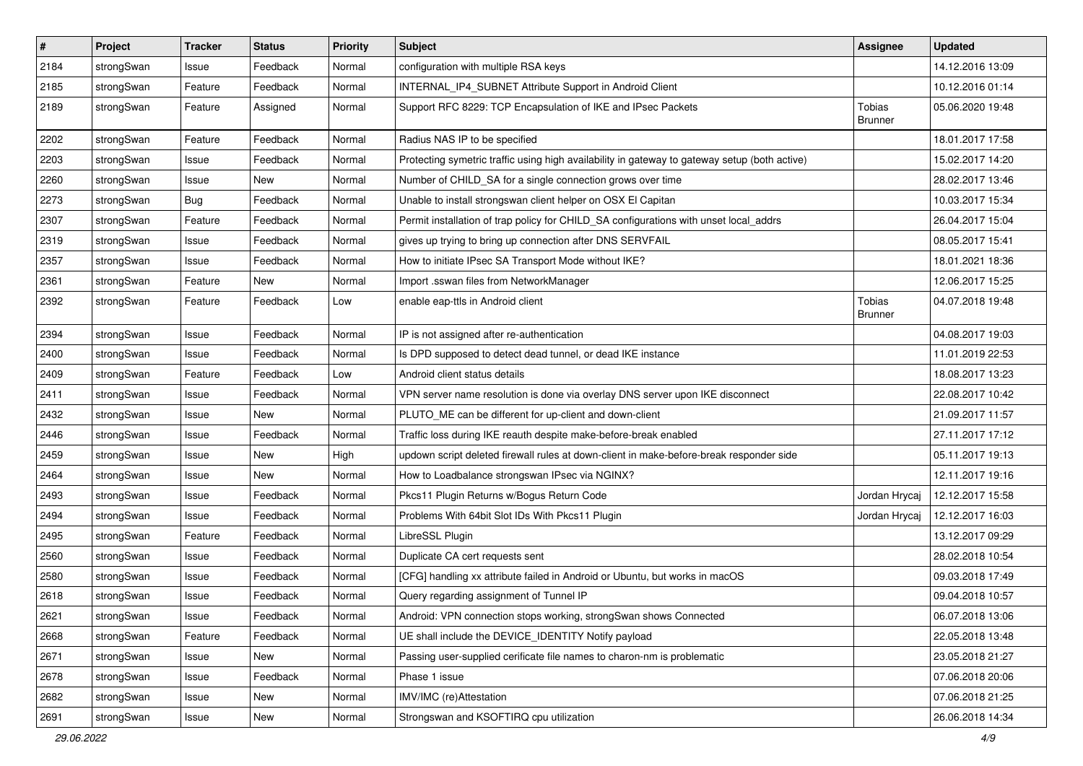| $\vert$ # | Project    | <b>Tracker</b> | <b>Status</b> | <b>Priority</b> | <b>Subject</b>                                                                                | <b>Assignee</b>                 | <b>Updated</b>   |
|-----------|------------|----------------|---------------|-----------------|-----------------------------------------------------------------------------------------------|---------------------------------|------------------|
| 2184      | strongSwan | Issue          | Feedback      | Normal          | configuration with multiple RSA keys                                                          |                                 | 14.12.2016 13:09 |
| 2185      | strongSwan | Feature        | Feedback      | Normal          | INTERNAL_IP4_SUBNET Attribute Support in Android Client                                       |                                 | 10.12.2016 01:14 |
| 2189      | strongSwan | Feature        | Assigned      | Normal          | Support RFC 8229: TCP Encapsulation of IKE and IPsec Packets                                  | <b>Tobias</b><br><b>Brunner</b> | 05.06.2020 19:48 |
| 2202      | strongSwan | Feature        | Feedback      | Normal          | Radius NAS IP to be specified                                                                 |                                 | 18.01.2017 17:58 |
| 2203      | strongSwan | Issue          | Feedback      | Normal          | Protecting symetric traffic using high availability in gateway to gateway setup (both active) |                                 | 15.02.2017 14:20 |
| 2260      | strongSwan | Issue          | New           | Normal          | Number of CHILD_SA for a single connection grows over time                                    |                                 | 28.02.2017 13:46 |
| 2273      | strongSwan | Bug            | Feedback      | Normal          | Unable to install strongswan client helper on OSX El Capitan                                  |                                 | 10.03.2017 15:34 |
| 2307      | strongSwan | Feature        | Feedback      | Normal          | Permit installation of trap policy for CHILD_SA configurations with unset local_addrs         |                                 | 26.04.2017 15:04 |
| 2319      | strongSwan | Issue          | Feedback      | Normal          | gives up trying to bring up connection after DNS SERVFAIL                                     |                                 | 08.05.2017 15:41 |
| 2357      | strongSwan | Issue          | Feedback      | Normal          | How to initiate IPsec SA Transport Mode without IKE?                                          |                                 | 18.01.2021 18:36 |
| 2361      | strongSwan | Feature        | New           | Normal          | Import .sswan files from NetworkManager                                                       |                                 | 12.06.2017 15:25 |
| 2392      | strongSwan | Feature        | Feedback      | Low             | enable eap-ttls in Android client                                                             | Tobias<br><b>Brunner</b>        | 04.07.2018 19:48 |
| 2394      | strongSwan | Issue          | Feedback      | Normal          | IP is not assigned after re-authentication                                                    |                                 | 04.08.2017 19:03 |
| 2400      | strongSwan | Issue          | Feedback      | Normal          | Is DPD supposed to detect dead tunnel, or dead IKE instance                                   |                                 | 11.01.2019 22:53 |
| 2409      | strongSwan | Feature        | Feedback      | Low             | Android client status details                                                                 |                                 | 18.08.2017 13:23 |
| 2411      | strongSwan | Issue          | Feedback      | Normal          | VPN server name resolution is done via overlay DNS server upon IKE disconnect                 |                                 | 22.08.2017 10:42 |
| 2432      | strongSwan | Issue          | New           | Normal          | PLUTO_ME can be different for up-client and down-client                                       |                                 | 21.09.2017 11:57 |
| 2446      | strongSwan | Issue          | Feedback      | Normal          | Traffic loss during IKE reauth despite make-before-break enabled                              |                                 | 27.11.2017 17:12 |
| 2459      | strongSwan | Issue          | New           | High            | updown script deleted firewall rules at down-client in make-before-break responder side       |                                 | 05.11.2017 19:13 |
| 2464      | strongSwan | Issue          | New           | Normal          | How to Loadbalance strongswan IPsec via NGINX?                                                |                                 | 12.11.2017 19:16 |
| 2493      | strongSwan | Issue          | Feedback      | Normal          | Pkcs11 Plugin Returns w/Bogus Return Code                                                     | Jordan Hrycaj                   | 12.12.2017 15:58 |
| 2494      | strongSwan | Issue          | Feedback      | Normal          | Problems With 64bit Slot IDs With Pkcs11 Plugin                                               | Jordan Hrycaj                   | 12.12.2017 16:03 |
| 2495      | strongSwan | Feature        | Feedback      | Normal          | LibreSSL Plugin                                                                               |                                 | 13.12.2017 09:29 |
| 2560      | strongSwan | Issue          | Feedback      | Normal          | Duplicate CA cert requests sent                                                               |                                 | 28.02.2018 10:54 |
| 2580      | strongSwan | Issue          | Feedback      | Normal          | [CFG] handling xx attribute failed in Android or Ubuntu, but works in macOS                   |                                 | 09.03.2018 17:49 |
| 2618      | strongSwan | Issue          | Feedback      | Normal          | Query regarding assignment of Tunnel IP                                                       |                                 | 09.04.2018 10:57 |
| 2621      | strongSwan | Issue          | Feedback      | Normal          | Android: VPN connection stops working, strongSwan shows Connected                             |                                 | 06.07.2018 13:06 |
| 2668      | strongSwan | Feature        | Feedback      | Normal          | UE shall include the DEVICE_IDENTITY Notify payload                                           |                                 | 22.05.2018 13:48 |
| 2671      | strongSwan | Issue          | New           | Normal          | Passing user-supplied cerificate file names to charon-nm is problematic                       |                                 | 23.05.2018 21:27 |
| 2678      | strongSwan | Issue          | Feedback      | Normal          | Phase 1 issue                                                                                 |                                 | 07.06.2018 20:06 |
| 2682      | strongSwan | Issue          | New           | Normal          | IMV/IMC (re)Attestation                                                                       |                                 | 07.06.2018 21:25 |
| 2691      | strongSwan | Issue          | New           | Normal          | Strongswan and KSOFTIRQ cpu utilization                                                       |                                 | 26.06.2018 14:34 |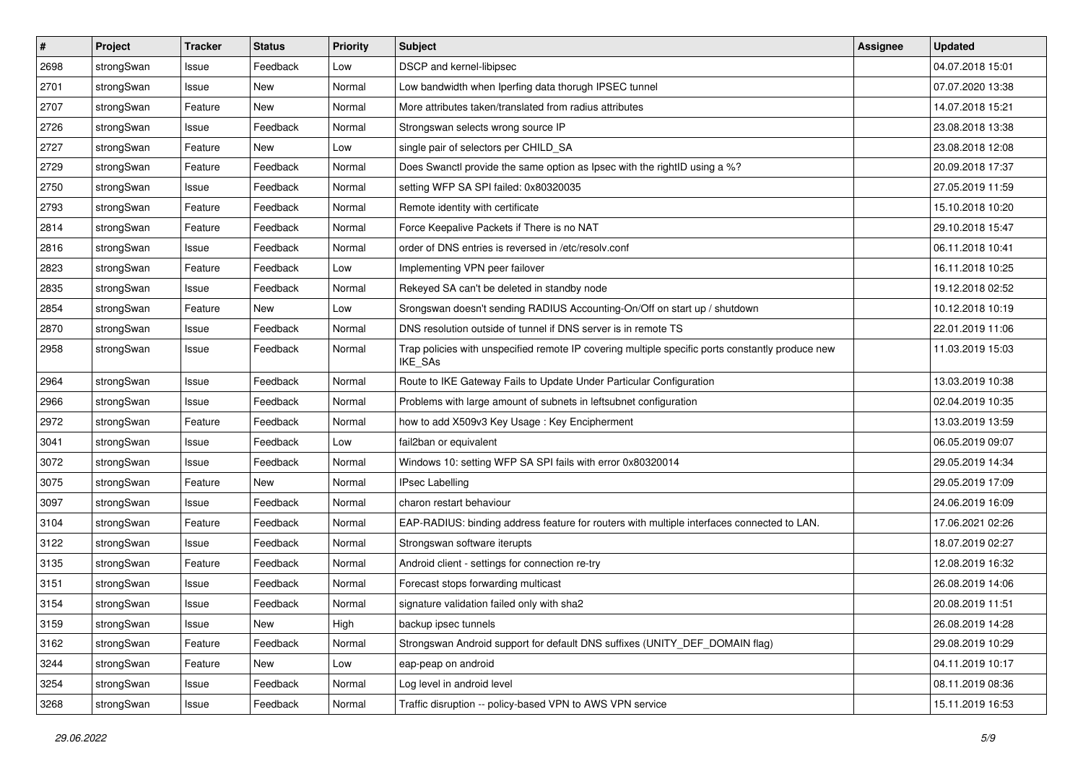| $\vert$ # | Project    | <b>Tracker</b> | <b>Status</b> | <b>Priority</b> | <b>Subject</b>                                                                                              | <b>Assignee</b> | <b>Updated</b>   |
|-----------|------------|----------------|---------------|-----------------|-------------------------------------------------------------------------------------------------------------|-----------------|------------------|
| 2698      | strongSwan | Issue          | Feedback      | Low             | DSCP and kernel-libipsec                                                                                    |                 | 04.07.2018 15:01 |
| 2701      | strongSwan | Issue          | New           | Normal          | Low bandwidth when Iperfing data thorugh IPSEC tunnel                                                       |                 | 07.07.2020 13:38 |
| 2707      | strongSwan | Feature        | New           | Normal          | More attributes taken/translated from radius attributes                                                     |                 | 14.07.2018 15:21 |
| 2726      | strongSwan | Issue          | Feedback      | Normal          | Strongswan selects wrong source IP                                                                          |                 | 23.08.2018 13:38 |
| 2727      | strongSwan | Feature        | New           | Low             | single pair of selectors per CHILD_SA                                                                       |                 | 23.08.2018 12:08 |
| 2729      | strongSwan | Feature        | Feedback      | Normal          | Does Swanctl provide the same option as Ipsec with the rightID using a %?                                   |                 | 20.09.2018 17:37 |
| 2750      | strongSwan | Issue          | Feedback      | Normal          | setting WFP SA SPI failed: 0x80320035                                                                       |                 | 27.05.2019 11:59 |
| 2793      | strongSwan | Feature        | Feedback      | Normal          | Remote identity with certificate                                                                            |                 | 15.10.2018 10:20 |
| 2814      | strongSwan | Feature        | Feedback      | Normal          | Force Keepalive Packets if There is no NAT                                                                  |                 | 29.10.2018 15:47 |
| 2816      | strongSwan | Issue          | Feedback      | Normal          | order of DNS entries is reversed in /etc/resolv.conf                                                        |                 | 06.11.2018 10:41 |
| 2823      | strongSwan | Feature        | Feedback      | Low             | Implementing VPN peer failover                                                                              |                 | 16.11.2018 10:25 |
| 2835      | strongSwan | Issue          | Feedback      | Normal          | Rekeyed SA can't be deleted in standby node                                                                 |                 | 19.12.2018 02:52 |
| 2854      | strongSwan | Feature        | New           | Low             | Srongswan doesn't sending RADIUS Accounting-On/Off on start up / shutdown                                   |                 | 10.12.2018 10:19 |
| 2870      | strongSwan | Issue          | Feedback      | Normal          | DNS resolution outside of tunnel if DNS server is in remote TS                                              |                 | 22.01.2019 11:06 |
| 2958      | strongSwan | Issue          | Feedback      | Normal          | Trap policies with unspecified remote IP covering multiple specific ports constantly produce new<br>IKE_SAs |                 | 11.03.2019 15:03 |
| 2964      | strongSwan | Issue          | Feedback      | Normal          | Route to IKE Gateway Fails to Update Under Particular Configuration                                         |                 | 13.03.2019 10:38 |
| 2966      | strongSwan | Issue          | Feedback      | Normal          | Problems with large amount of subnets in leftsubnet configuration                                           |                 | 02.04.2019 10:35 |
| 2972      | strongSwan | Feature        | Feedback      | Normal          | how to add X509v3 Key Usage: Key Encipherment                                                               |                 | 13.03.2019 13:59 |
| 3041      | strongSwan | Issue          | Feedback      | Low             | fail2ban or equivalent                                                                                      |                 | 06.05.2019 09:07 |
| 3072      | strongSwan | Issue          | Feedback      | Normal          | Windows 10: setting WFP SA SPI fails with error 0x80320014                                                  |                 | 29.05.2019 14:34 |
| 3075      | strongSwan | Feature        | New           | Normal          | <b>IPsec Labelling</b>                                                                                      |                 | 29.05.2019 17:09 |
| 3097      | strongSwan | Issue          | Feedback      | Normal          | charon restart behaviour                                                                                    |                 | 24.06.2019 16:09 |
| 3104      | strongSwan | Feature        | Feedback      | Normal          | EAP-RADIUS: binding address feature for routers with multiple interfaces connected to LAN.                  |                 | 17.06.2021 02:26 |
| 3122      | strongSwan | Issue          | Feedback      | Normal          | Strongswan software iterupts                                                                                |                 | 18.07.2019 02:27 |
| 3135      | strongSwan | Feature        | Feedback      | Normal          | Android client - settings for connection re-try                                                             |                 | 12.08.2019 16:32 |
| 3151      | strongSwan | Issue          | Feedback      | Normal          | Forecast stops forwarding multicast                                                                         |                 | 26.08.2019 14:06 |
| 3154      | strongSwan | Issue          | Feedback      | Normal          | signature validation failed only with sha2                                                                  |                 | 20.08.2019 11:51 |
| 3159      | strongSwan | Issue          | New           | High            | backup ipsec tunnels                                                                                        |                 | 26.08.2019 14:28 |
| 3162      | strongSwan | Feature        | Feedback      | Normal          | Strongswan Android support for default DNS suffixes (UNITY_DEF_DOMAIN flag)                                 |                 | 29.08.2019 10:29 |
| 3244      | strongSwan | Feature        | New           | Low             | eap-peap on android                                                                                         |                 | 04.11.2019 10:17 |
| 3254      | strongSwan | Issue          | Feedback      | Normal          | Log level in android level                                                                                  |                 | 08.11.2019 08:36 |
| 3268      | strongSwan | Issue          | Feedback      | Normal          | Traffic disruption -- policy-based VPN to AWS VPN service                                                   |                 | 15.11.2019 16:53 |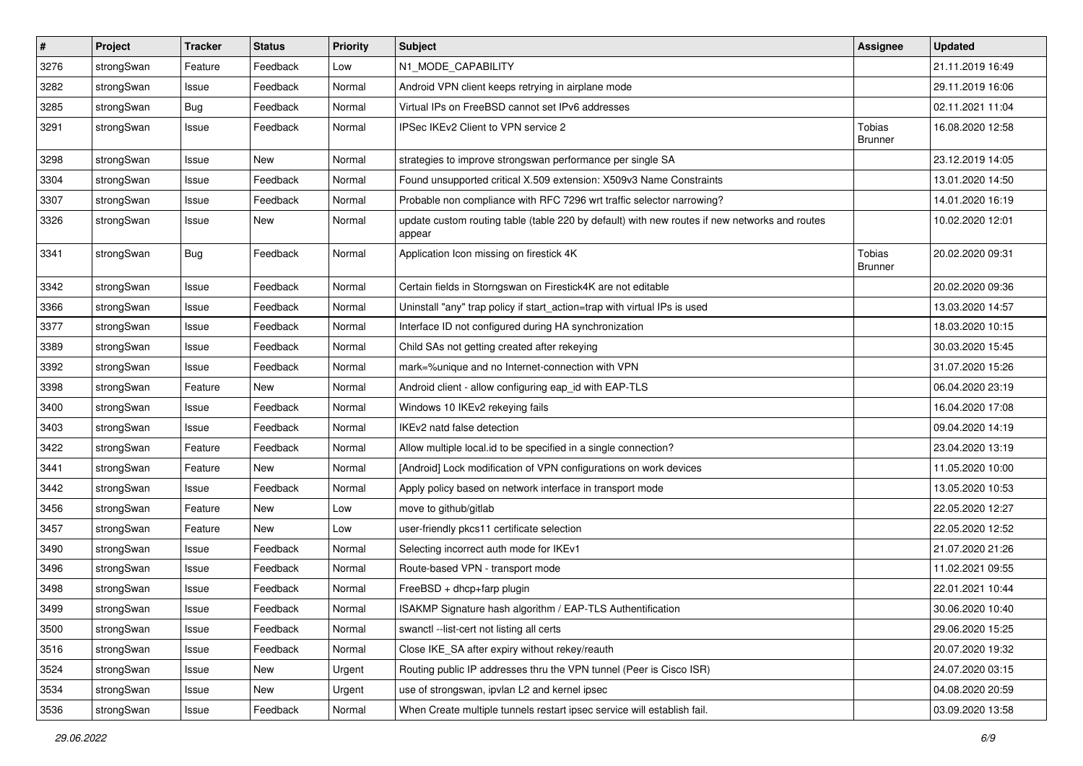| $\vert$ # | Project    | <b>Tracker</b> | <b>Status</b> | <b>Priority</b> | Subject                                                                                                 | <b>Assignee</b>                 | <b>Updated</b>   |
|-----------|------------|----------------|---------------|-----------------|---------------------------------------------------------------------------------------------------------|---------------------------------|------------------|
| 3276      | strongSwan | Feature        | Feedback      | Low             | N1_MODE_CAPABILITY                                                                                      |                                 | 21.11.2019 16:49 |
| 3282      | strongSwan | Issue          | Feedback      | Normal          | Android VPN client keeps retrying in airplane mode                                                      |                                 | 29.11.2019 16:06 |
| 3285      | strongSwan | <b>Bug</b>     | Feedback      | Normal          | Virtual IPs on FreeBSD cannot set IPv6 addresses                                                        |                                 | 02.11.2021 11:04 |
| 3291      | strongSwan | Issue          | Feedback      | Normal          | IPSec IKEv2 Client to VPN service 2                                                                     | <b>Tobias</b><br><b>Brunner</b> | 16.08.2020 12:58 |
| 3298      | strongSwan | Issue          | New           | Normal          | strategies to improve strongswan performance per single SA                                              |                                 | 23.12.2019 14:05 |
| 3304      | strongSwan | Issue          | Feedback      | Normal          | Found unsupported critical X.509 extension: X509v3 Name Constraints                                     |                                 | 13.01.2020 14:50 |
| 3307      | strongSwan | Issue          | Feedback      | Normal          | Probable non compliance with RFC 7296 wrt traffic selector narrowing?                                   |                                 | 14.01.2020 16:19 |
| 3326      | strongSwan | Issue          | New           | Normal          | update custom routing table (table 220 by default) with new routes if new networks and routes<br>appear |                                 | 10.02.2020 12:01 |
| 3341      | strongSwan | Bug            | Feedback      | Normal          | Application Icon missing on firestick 4K                                                                | <b>Tobias</b><br><b>Brunner</b> | 20.02.2020 09:31 |
| 3342      | strongSwan | Issue          | Feedback      | Normal          | Certain fields in Storngswan on Firestick4K are not editable                                            |                                 | 20.02.2020 09:36 |
| 3366      | strongSwan | Issue          | Feedback      | Normal          | Uninstall "any" trap policy if start_action=trap with virtual IPs is used                               |                                 | 13.03.2020 14:57 |
| 3377      | strongSwan | Issue          | Feedback      | Normal          | Interface ID not configured during HA synchronization                                                   |                                 | 18.03.2020 10:15 |
| 3389      | strongSwan | Issue          | Feedback      | Normal          | Child SAs not getting created after rekeying                                                            |                                 | 30.03.2020 15:45 |
| 3392      | strongSwan | Issue          | Feedback      | Normal          | mark=%unique and no Internet-connection with VPN                                                        |                                 | 31.07.2020 15:26 |
| 3398      | strongSwan | Feature        | New           | Normal          | Android client - allow configuring eap_id with EAP-TLS                                                  |                                 | 06.04.2020 23:19 |
| 3400      | strongSwan | Issue          | Feedback      | Normal          | Windows 10 IKEv2 rekeying fails                                                                         |                                 | 16.04.2020 17:08 |
| 3403      | strongSwan | Issue          | Feedback      | Normal          | IKEv2 natd false detection                                                                              |                                 | 09.04.2020 14:19 |
| 3422      | strongSwan | Feature        | Feedback      | Normal          | Allow multiple local.id to be specified in a single connection?                                         |                                 | 23.04.2020 13:19 |
| 3441      | strongSwan | Feature        | New           | Normal          | [Android] Lock modification of VPN configurations on work devices                                       |                                 | 11.05.2020 10:00 |
| 3442      | strongSwan | Issue          | Feedback      | Normal          | Apply policy based on network interface in transport mode                                               |                                 | 13.05.2020 10:53 |
| 3456      | strongSwan | Feature        | New           | Low             | move to github/gitlab                                                                                   |                                 | 22.05.2020 12:27 |
| 3457      | strongSwan | Feature        | New           | Low             | user-friendly pkcs11 certificate selection                                                              |                                 | 22.05.2020 12:52 |
| 3490      | strongSwan | Issue          | Feedback      | Normal          | Selecting incorrect auth mode for IKEv1                                                                 |                                 | 21.07.2020 21:26 |
| 3496      | strongSwan | Issue          | Feedback      | Normal          | Route-based VPN - transport mode                                                                        |                                 | 11.02.2021 09:55 |
| 3498      | strongSwan | Issue          | Feedback      | Normal          | FreeBSD + dhcp+farp plugin                                                                              |                                 | 22.01.2021 10:44 |
| 3499      | strongSwan | Issue          | Feedback      | Normal          | ISAKMP Signature hash algorithm / EAP-TLS Authentification                                              |                                 | 30.06.2020 10:40 |
| 3500      | strongSwan | Issue          | Feedback      | Normal          | swanctl --list-cert not listing all certs                                                               |                                 | 29.06.2020 15:25 |
| 3516      | strongSwan | Issue          | Feedback      | Normal          | Close IKE SA after expiry without rekey/reauth                                                          |                                 | 20.07.2020 19:32 |
| 3524      | strongSwan | Issue          | New           | Urgent          | Routing public IP addresses thru the VPN tunnel (Peer is Cisco ISR)                                     |                                 | 24.07.2020 03:15 |
| 3534      | strongSwan | Issue          | New           | Urgent          | use of strongswan, ipvlan L2 and kernel ipsec                                                           |                                 | 04.08.2020 20:59 |
| 3536      | strongSwan | Issue          | Feedback      | Normal          | When Create multiple tunnels restart ipsec service will establish fail.                                 |                                 | 03.09.2020 13:58 |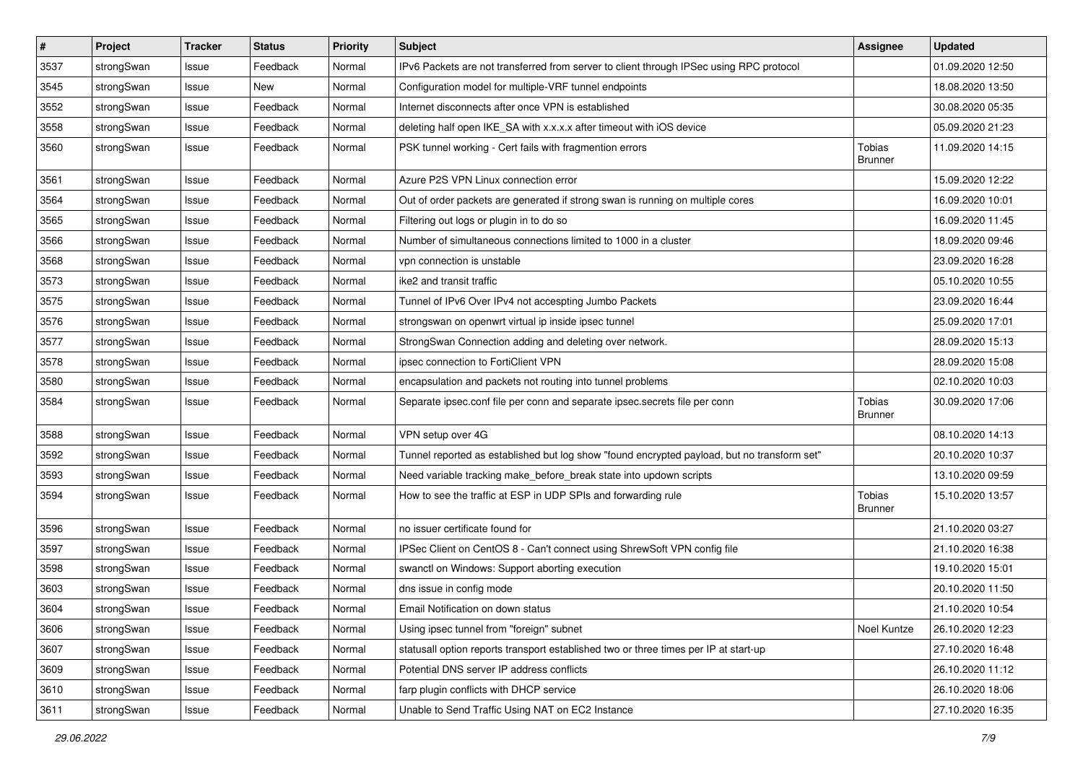| $\vert$ # | Project    | <b>Tracker</b> | <b>Status</b> | Priority | <b>Subject</b>                                                                              | <b>Assignee</b>                 | <b>Updated</b>   |
|-----------|------------|----------------|---------------|----------|---------------------------------------------------------------------------------------------|---------------------------------|------------------|
| 3537      | strongSwan | Issue          | Feedback      | Normal   | IPv6 Packets are not transferred from server to client through IPSec using RPC protocol     |                                 | 01.09.2020 12:50 |
| 3545      | strongSwan | Issue          | New           | Normal   | Configuration model for multiple-VRF tunnel endpoints                                       |                                 | 18.08.2020 13:50 |
| 3552      | strongSwan | Issue          | Feedback      | Normal   | Internet disconnects after once VPN is established                                          |                                 | 30.08.2020 05:35 |
| 3558      | strongSwan | Issue          | Feedback      | Normal   | deleting half open IKE_SA with x.x.x.x after timeout with iOS device                        |                                 | 05.09.2020 21:23 |
| 3560      | strongSwan | Issue          | Feedback      | Normal   | PSK tunnel working - Cert fails with fragmention errors                                     | <b>Tobias</b><br><b>Brunner</b> | 11.09.2020 14:15 |
| 3561      | strongSwan | Issue          | Feedback      | Normal   | Azure P2S VPN Linux connection error                                                        |                                 | 15.09.2020 12:22 |
| 3564      | strongSwan | Issue          | Feedback      | Normal   | Out of order packets are generated if strong swan is running on multiple cores              |                                 | 16.09.2020 10:01 |
| 3565      | strongSwan | Issue          | Feedback      | Normal   | Filtering out logs or plugin in to do so                                                    |                                 | 16.09.2020 11:45 |
| 3566      | strongSwan | Issue          | Feedback      | Normal   | Number of simultaneous connections limited to 1000 in a cluster                             |                                 | 18.09.2020 09:46 |
| 3568      | strongSwan | Issue          | Feedback      | Normal   | vpn connection is unstable                                                                  |                                 | 23.09.2020 16:28 |
| 3573      | strongSwan | Issue          | Feedback      | Normal   | ike2 and transit traffic                                                                    |                                 | 05.10.2020 10:55 |
| 3575      | strongSwan | Issue          | Feedback      | Normal   | Tunnel of IPv6 Over IPv4 not accespting Jumbo Packets                                       |                                 | 23.09.2020 16:44 |
| 3576      | strongSwan | Issue          | Feedback      | Normal   | strongswan on openwrt virtual ip inside ipsec tunnel                                        |                                 | 25.09.2020 17:01 |
| 3577      | strongSwan | Issue          | Feedback      | Normal   | StrongSwan Connection adding and deleting over network.                                     |                                 | 28.09.2020 15:13 |
| 3578      | strongSwan | Issue          | Feedback      | Normal   | ipsec connection to FortiClient VPN                                                         |                                 | 28.09.2020 15:08 |
| 3580      | strongSwan | Issue          | Feedback      | Normal   | encapsulation and packets not routing into tunnel problems                                  |                                 | 02.10.2020 10:03 |
| 3584      | strongSwan | Issue          | Feedback      | Normal   | Separate ipsec.conf file per conn and separate ipsec.secrets file per conn                  | Tobias<br><b>Brunner</b>        | 30.09.2020 17:06 |
| 3588      | strongSwan | Issue          | Feedback      | Normal   | VPN setup over 4G                                                                           |                                 | 08.10.2020 14:13 |
| 3592      | strongSwan | Issue          | Feedback      | Normal   | Tunnel reported as established but log show "found encrypted payload, but no transform set" |                                 | 20.10.2020 10:37 |
| 3593      | strongSwan | Issue          | Feedback      | Normal   | Need variable tracking make_before_break state into updown scripts                          |                                 | 13.10.2020 09:59 |
| 3594      | strongSwan | Issue          | Feedback      | Normal   | How to see the traffic at ESP in UDP SPIs and forwarding rule                               | Tobias<br><b>Brunner</b>        | 15.10.2020 13:57 |
| 3596      | strongSwan | Issue          | Feedback      | Normal   | no issuer certificate found for                                                             |                                 | 21.10.2020 03:27 |
| 3597      | strongSwan | Issue          | Feedback      | Normal   | IPSec Client on CentOS 8 - Can't connect using ShrewSoft VPN config file                    |                                 | 21.10.2020 16:38 |
| 3598      | strongSwan | Issue          | Feedback      | Normal   | swanctl on Windows: Support aborting execution                                              |                                 | 19.10.2020 15:01 |
| 3603      | strongSwan | Issue          | Feedback      | Normal   | dns issue in config mode                                                                    |                                 | 20.10.2020 11:50 |
| 3604      | strongSwan | Issue          | Feedback      | Normal   | Email Notification on down status                                                           |                                 | 21.10.2020 10:54 |
| 3606      | strongSwan | Issue          | Feedback      | Normal   | Using ipsec tunnel from "foreign" subnet                                                    | Noel Kuntze                     | 26.10.2020 12:23 |
| 3607      | strongSwan | Issue          | Feedback      | Normal   | statusall option reports transport established two or three times per IP at start-up        |                                 | 27.10.2020 16:48 |
| 3609      | strongSwan | Issue          | Feedback      | Normal   | Potential DNS server IP address conflicts                                                   |                                 | 26.10.2020 11:12 |
| 3610      | strongSwan | Issue          | Feedback      | Normal   | farp plugin conflicts with DHCP service                                                     |                                 | 26.10.2020 18:06 |
| 3611      | strongSwan | Issue          | Feedback      | Normal   | Unable to Send Traffic Using NAT on EC2 Instance                                            |                                 | 27.10.2020 16:35 |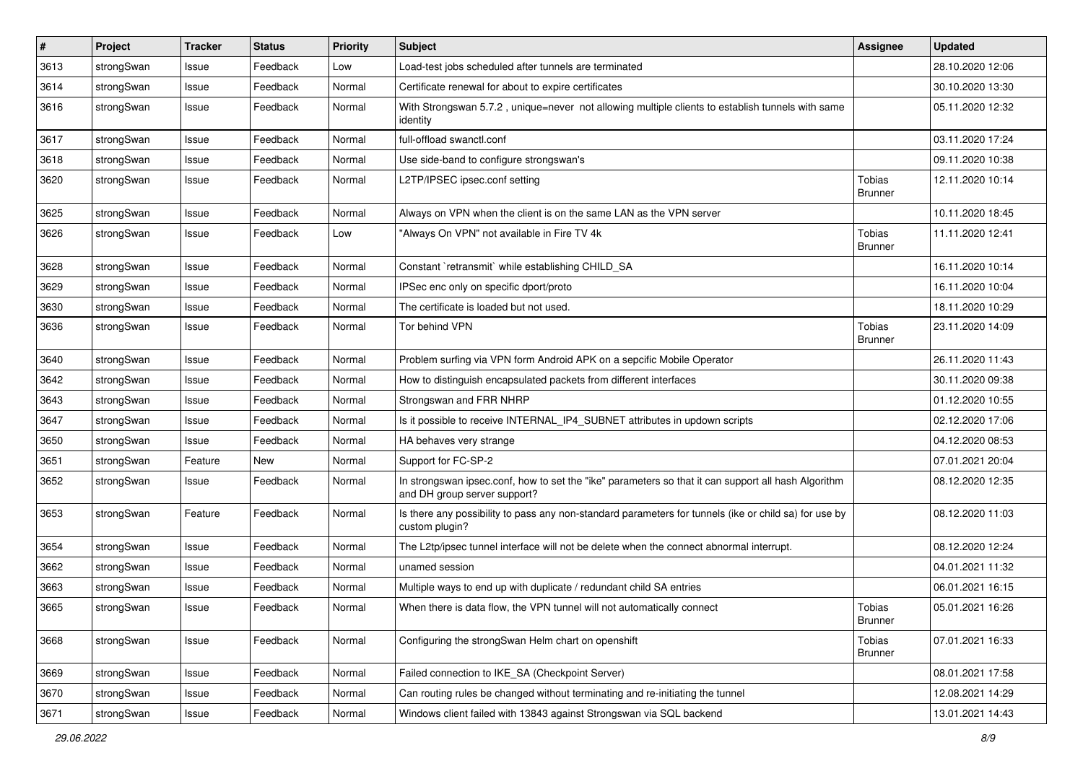| $\sharp$ | Project    | <b>Tracker</b> | <b>Status</b> | <b>Priority</b> | <b>Subject</b>                                                                                                                      | Assignee                 | <b>Updated</b>   |
|----------|------------|----------------|---------------|-----------------|-------------------------------------------------------------------------------------------------------------------------------------|--------------------------|------------------|
| 3613     | strongSwan | Issue          | Feedback      | Low             | Load-test jobs scheduled after tunnels are terminated                                                                               |                          | 28.10.2020 12:06 |
| 3614     | strongSwan | Issue          | Feedback      | Normal          | Certificate renewal for about to expire certificates                                                                                |                          | 30.10.2020 13:30 |
| 3616     | strongSwan | Issue          | Feedback      | Normal          | With Strongswan 5.7.2, unique=never not allowing multiple clients to establish tunnels with same<br>identity                        |                          | 05.11.2020 12:32 |
| 3617     | strongSwan | Issue          | Feedback      | Normal          | full-offload swanctl.conf                                                                                                           |                          | 03.11.2020 17:24 |
| 3618     | strongSwan | Issue          | Feedback      | Normal          | Use side-band to configure strongswan's                                                                                             |                          | 09.11.2020 10:38 |
| 3620     | strongSwan | Issue          | Feedback      | Normal          | L2TP/IPSEC ipsec.conf setting                                                                                                       | Tobias<br><b>Brunner</b> | 12.11.2020 10:14 |
| 3625     | strongSwan | Issue          | Feedback      | Normal          | Always on VPN when the client is on the same LAN as the VPN server                                                                  |                          | 10.11.2020 18:45 |
| 3626     | strongSwan | Issue          | Feedback      | Low             | 'Always On VPN" not available in Fire TV 4k                                                                                         | Tobias<br><b>Brunner</b> | 11.11.2020 12:41 |
| 3628     | strongSwan | Issue          | Feedback      | Normal          | Constant `retransmit` while establishing CHILD_SA                                                                                   |                          | 16.11.2020 10:14 |
| 3629     | strongSwan | Issue          | Feedback      | Normal          | IPSec enc only on specific dport/proto                                                                                              |                          | 16.11.2020 10:04 |
| 3630     | strongSwan | Issue          | Feedback      | Normal          | The certificate is loaded but not used.                                                                                             |                          | 18.11.2020 10:29 |
| 3636     | strongSwan | Issue          | Feedback      | Normal          | Tor behind VPN                                                                                                                      | Tobias<br>Brunner        | 23.11.2020 14:09 |
| 3640     | strongSwan | Issue          | Feedback      | Normal          | Problem surfing via VPN form Android APK on a sepcific Mobile Operator                                                              |                          | 26.11.2020 11:43 |
| 3642     | strongSwan | Issue          | Feedback      | Normal          | How to distinguish encapsulated packets from different interfaces                                                                   |                          | 30.11.2020 09:38 |
| 3643     | strongSwan | Issue          | Feedback      | Normal          | Strongswan and FRR NHRP                                                                                                             |                          | 01.12.2020 10:55 |
| 3647     | strongSwan | Issue          | Feedback      | Normal          | Is it possible to receive INTERNAL_IP4_SUBNET attributes in updown scripts                                                          |                          | 02.12.2020 17:06 |
| 3650     | strongSwan | Issue          | Feedback      | Normal          | HA behaves very strange                                                                                                             |                          | 04.12.2020 08:53 |
| 3651     | strongSwan | Feature        | New           | Normal          | Support for FC-SP-2                                                                                                                 |                          | 07.01.2021 20:04 |
| 3652     | strongSwan | Issue          | Feedback      | Normal          | In strongswan ipsec.conf, how to set the "ike" parameters so that it can support all hash Algorithm<br>and DH group server support? |                          | 08.12.2020 12:35 |
| 3653     | strongSwan | Feature        | Feedback      | Normal          | Is there any possibility to pass any non-standard parameters for tunnels (ike or child sa) for use by<br>custom plugin?             |                          | 08.12.2020 11:03 |
| 3654     | strongSwan | Issue          | Feedback      | Normal          | The L2tp/ipsec tunnel interface will not be delete when the connect abnormal interrupt.                                             |                          | 08.12.2020 12:24 |
| 3662     | strongSwan | Issue          | Feedback      | Normal          | unamed session                                                                                                                      |                          | 04.01.2021 11:32 |
| 3663     | strongSwan | Issue          | Feedback      | Normal          | Multiple ways to end up with duplicate / redundant child SA entries                                                                 |                          | 06.01.2021 16:15 |
| 3665     | strongSwan | Issue          | Feedback      | Normal          | When there is data flow, the VPN tunnel will not automatically connect                                                              | Tobias<br><b>Brunner</b> | 05.01.2021 16:26 |
| 3668     | strongSwan | Issue          | Feedback      | Normal          | Configuring the strongSwan Helm chart on openshift                                                                                  | Tobias<br><b>Brunner</b> | 07.01.2021 16:33 |
| 3669     | strongSwan | Issue          | Feedback      | Normal          | Failed connection to IKE_SA (Checkpoint Server)                                                                                     |                          | 08.01.2021 17:58 |
| 3670     | strongSwan | Issue          | Feedback      | Normal          | Can routing rules be changed without terminating and re-initiating the tunnel                                                       |                          | 12.08.2021 14:29 |
| 3671     | strongSwan | Issue          | Feedback      | Normal          | Windows client failed with 13843 against Strongswan via SQL backend                                                                 |                          | 13.01.2021 14:43 |